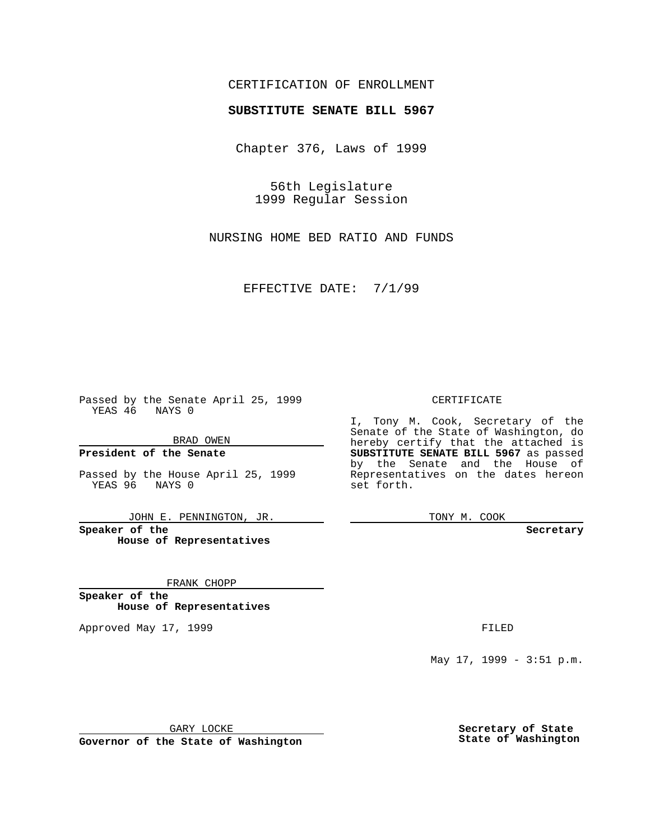### CERTIFICATION OF ENROLLMENT

# **SUBSTITUTE SENATE BILL 5967**

Chapter 376, Laws of 1999

56th Legislature 1999 Regular Session

NURSING HOME BED RATIO AND FUNDS

EFFECTIVE DATE: 7/1/99

Passed by the Senate April 25, 1999 YEAS 46 NAYS 0

BRAD OWEN

**President of the Senate**

Passed by the House April 25, 1999 YEAS 96 NAYS 0

JOHN E. PENNINGTON, JR.

**Speaker of the House of Representatives**

FRANK CHOPP

**Speaker of the House of Representatives**

Approved May 17, 1999 **FILED** 

CERTIFICATE

I, Tony M. Cook, Secretary of the Senate of the State of Washington, do hereby certify that the attached is **SUBSTITUTE SENATE BILL 5967** as passed by the Senate and the House of Representatives on the dates hereon set forth.

TONY M. COOK

**Secretary**

May 17, 1999 - 3:51 p.m.

GARY LOCKE

**Governor of the State of Washington**

**Secretary of State State of Washington**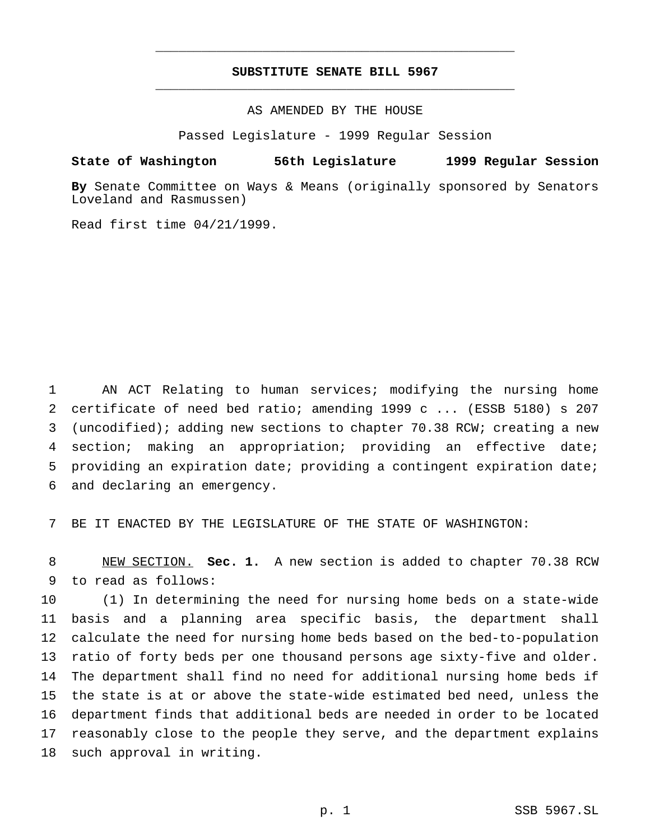## **SUBSTITUTE SENATE BILL 5967** \_\_\_\_\_\_\_\_\_\_\_\_\_\_\_\_\_\_\_\_\_\_\_\_\_\_\_\_\_\_\_\_\_\_\_\_\_\_\_\_\_\_\_\_\_\_\_

\_\_\_\_\_\_\_\_\_\_\_\_\_\_\_\_\_\_\_\_\_\_\_\_\_\_\_\_\_\_\_\_\_\_\_\_\_\_\_\_\_\_\_\_\_\_\_

#### AS AMENDED BY THE HOUSE

Passed Legislature - 1999 Regular Session

#### **State of Washington 56th Legislature 1999 Regular Session**

**By** Senate Committee on Ways & Means (originally sponsored by Senators Loveland and Rasmussen)

Read first time 04/21/1999.

 AN ACT Relating to human services; modifying the nursing home certificate of need bed ratio; amending 1999 c ... (ESSB 5180) s 207 (uncodified); adding new sections to chapter 70.38 RCW; creating a new section; making an appropriation; providing an effective date; providing an expiration date; providing a contingent expiration date; and declaring an emergency.

BE IT ENACTED BY THE LEGISLATURE OF THE STATE OF WASHINGTON:

 NEW SECTION. **Sec. 1.** A new section is added to chapter 70.38 RCW to read as follows:

 (1) In determining the need for nursing home beds on a state-wide basis and a planning area specific basis, the department shall calculate the need for nursing home beds based on the bed-to-population ratio of forty beds per one thousand persons age sixty-five and older. The department shall find no need for additional nursing home beds if the state is at or above the state-wide estimated bed need, unless the department finds that additional beds are needed in order to be located reasonably close to the people they serve, and the department explains such approval in writing.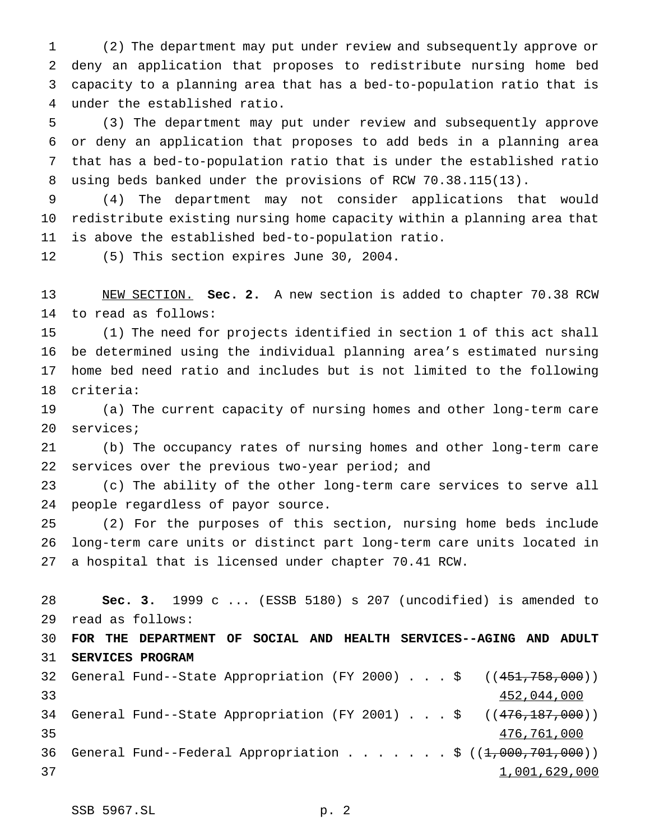(2) The department may put under review and subsequently approve or deny an application that proposes to redistribute nursing home bed capacity to a planning area that has a bed-to-population ratio that is under the established ratio.

 (3) The department may put under review and subsequently approve or deny an application that proposes to add beds in a planning area that has a bed-to-population ratio that is under the established ratio using beds banked under the provisions of RCW 70.38.115(13).

 (4) The department may not consider applications that would redistribute existing nursing home capacity within a planning area that is above the established bed-to-population ratio.

(5) This section expires June 30, 2004.

 NEW SECTION. **Sec. 2.** A new section is added to chapter 70.38 RCW to read as follows:

 (1) The need for projects identified in section 1 of this act shall be determined using the individual planning area's estimated nursing home bed need ratio and includes but is not limited to the following criteria:

 (a) The current capacity of nursing homes and other long-term care services;

 (b) The occupancy rates of nursing homes and other long-term care services over the previous two-year period; and

 (c) The ability of the other long-term care services to serve all people regardless of payor source.

 (2) For the purposes of this section, nursing home beds include long-term care units or distinct part long-term care units located in a hospital that is licensed under chapter 70.41 RCW.

 **Sec. 3.** 1999 c ... (ESSB 5180) s 207 (uncodified) is amended to read as follows: **FOR THE DEPARTMENT OF SOCIAL AND HEALTH SERVICES--AGING AND ADULT SERVICES PROGRAM** 32 General Fund--State Appropriation (FY 2000)...\$ ((451,758,000)) 452,044,000 34 General Fund--State Appropriation (FY 2001) . . . \$ ((476,187,000)) 476,761,000 36 General Fund--Federal Appropriation . . . . . . \$  $((1,000,701,000))$ 37 1,001,629,000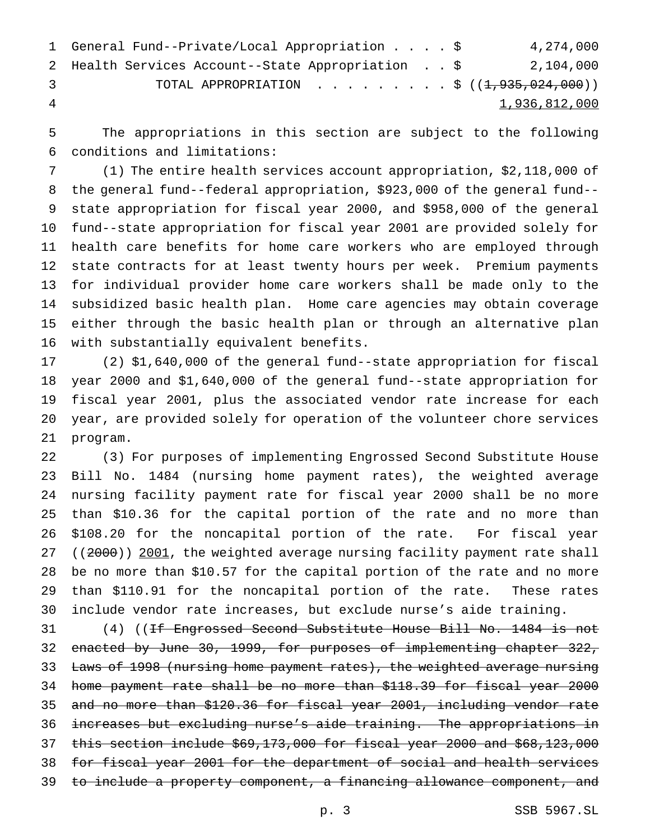|               | 1 General Fund--Private/Local Appropriation \$    |  | 4,274,000     |
|---------------|---------------------------------------------------|--|---------------|
|               | 2 Health Services Account--State Appropriation \$ |  | 2,104,000     |
| $\mathcal{R}$ | TOTAL APPROPRIATION \$ $((1, 935, 024, 000))$     |  |               |
| -4            |                                                   |  | 1,936,812,000 |

 The appropriations in this section are subject to the following conditions and limitations:

 (1) The entire health services account appropriation, \$2,118,000 of the general fund--federal appropriation, \$923,000 of the general fund-- state appropriation for fiscal year 2000, and \$958,000 of the general fund--state appropriation for fiscal year 2001 are provided solely for health care benefits for home care workers who are employed through state contracts for at least twenty hours per week. Premium payments for individual provider home care workers shall be made only to the subsidized basic health plan. Home care agencies may obtain coverage either through the basic health plan or through an alternative plan with substantially equivalent benefits.

 (2) \$1,640,000 of the general fund--state appropriation for fiscal year 2000 and \$1,640,000 of the general fund--state appropriation for fiscal year 2001, plus the associated vendor rate increase for each year, are provided solely for operation of the volunteer chore services program.

 (3) For purposes of implementing Engrossed Second Substitute House Bill No. 1484 (nursing home payment rates), the weighted average nursing facility payment rate for fiscal year 2000 shall be no more than \$10.36 for the capital portion of the rate and no more than \$108.20 for the noncapital portion of the rate. For fiscal year 27 ((2000)) 2001, the weighted average nursing facility payment rate shall be no more than \$10.57 for the capital portion of the rate and no more than \$110.91 for the noncapital portion of the rate. These rates include vendor rate increases, but exclude nurse's aide training.

 (4) ((If Engrossed Second Substitute House Bill No. 1484 is not enacted by June 30, 1999, for purposes of implementing chapter 322, 33 Laws of 1998 (nursing home payment rates), the weighted average nursing home payment rate shall be no more than \$118.39 for fiscal year 2000 and no more than \$120.36 for fiscal year 2001, including vendor rate increases but excluding nurse's aide training. The appropriations in this section include \$69,173,000 for fiscal year 2000 and \$68,123,000 for fiscal year 2001 for the department of social and health services 39 to include a property component, a financing allowance component, and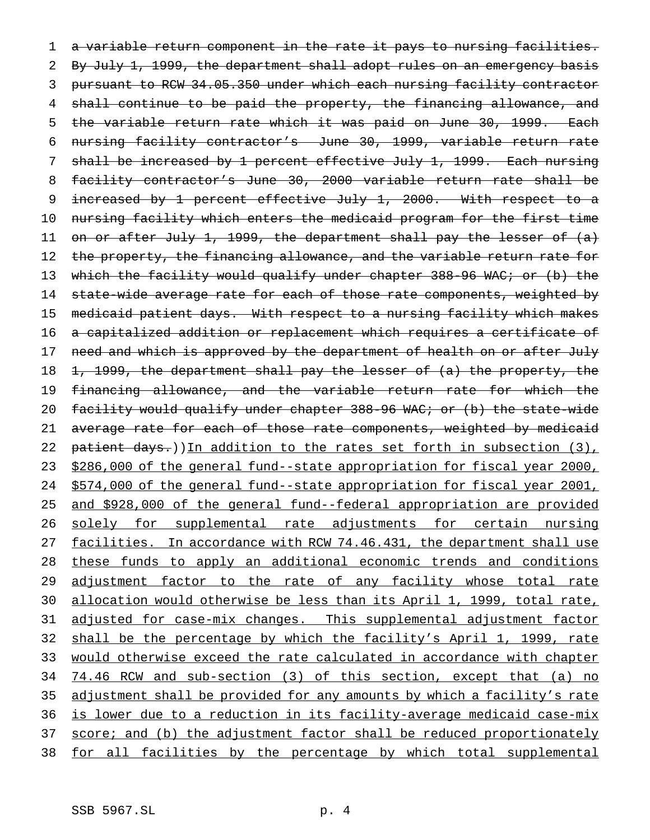1 a variable return component in the rate it pays to nursing facilities. 2 By July 1, 1999, the department shall adopt rules on an emergency basis 3 pursuant to RCW 34.05.350 under which each nursing facility contractor 4 shall continue to be paid the property, the financing allowance, and 5 the variable return rate which it was paid on June 30, 1999. Each 6 nursing facility contractor's June 30, 1999, variable return rate 7 shall be increased by 1 percent effective July 1, 1999. Each nursing 8 facility contractor's June 30, 2000 variable return rate shall be 9 increased by 1 percent effective July 1, 2000. With respect to a 10 nursing facility which enters the medicaid program for the first time 11 on or after July 1, 1999, the department shall pay the lesser of (a) 12 the property, the financing allowance, and the variable return rate for 13 which the facility would qualify under chapter 388-96 WAC; or (b) the 14 state-wide average rate for each of those rate components, weighted by 15 medicaid patient days. With respect to a nursing facility which makes 16 a capitalized addition or replacement which requires a certificate of 17 need and which is approved by the department of health on or after July 18 1, 1999, the department shall pay the lesser of (a) the property, the 19 financing allowance, and the variable return rate for which the 20 facility would qualify under chapter 388-96 WAC; or (b) the state-wide 21 average rate for each of those rate components, weighted by medicaid 22 patient days.)) In addition to the rates set forth in subsection (3), 23 \$286,000 of the general fund--state appropriation for fiscal year 2000, 24 \$574,000 of the general fund--state appropriation for fiscal year 2001, 25 and \$928,000 of the general fund--federal appropriation are provided 26 solely for supplemental rate adjustments for certain nursing 27 facilities. In accordance with RCW 74.46.431, the department shall use 28 these funds to apply an additional economic trends and conditions 29 adjustment factor to the rate of any facility whose total rate 30 allocation would otherwise be less than its April 1, 1999, total rate, 31 adjusted for case-mix changes. This supplemental adjustment factor 32 shall be the percentage by which the facility's April 1, 1999, rate 33 would otherwise exceed the rate calculated in accordance with chapter 34 74.46 RCW and sub-section (3) of this section, except that (a) no 35 adjustment shall be provided for any amounts by which a facility's rate 36 is lower due to a reduction in its facility-average medicaid case-mix 37 score; and (b) the adjustment factor shall be reduced proportionately 38 for all facilities by the percentage by which total supplemental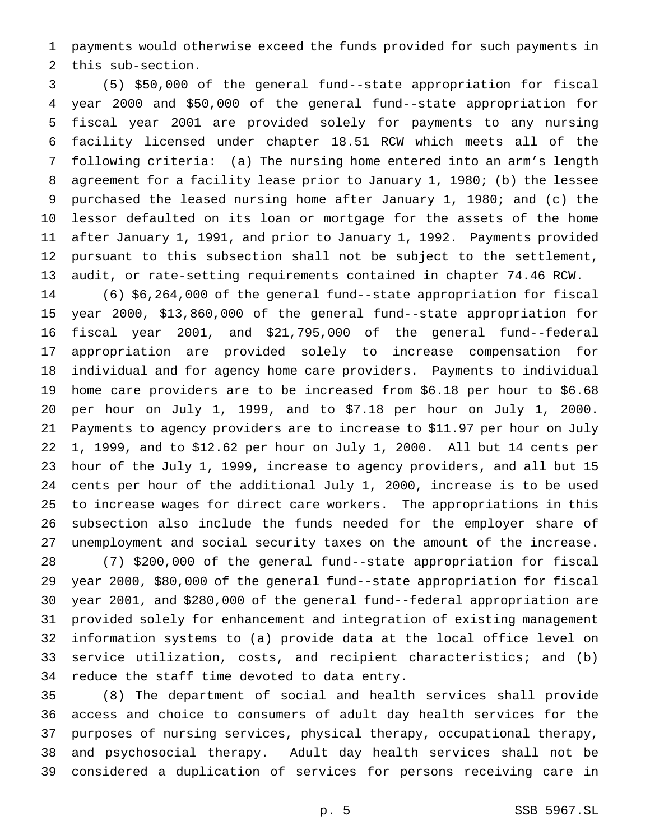payments would otherwise exceed the funds provided for such payments in

this sub-section.

 (5) \$50,000 of the general fund--state appropriation for fiscal year 2000 and \$50,000 of the general fund--state appropriation for fiscal year 2001 are provided solely for payments to any nursing facility licensed under chapter 18.51 RCW which meets all of the following criteria: (a) The nursing home entered into an arm's length agreement for a facility lease prior to January 1, 1980; (b) the lessee purchased the leased nursing home after January 1, 1980; and (c) the lessor defaulted on its loan or mortgage for the assets of the home after January 1, 1991, and prior to January 1, 1992. Payments provided pursuant to this subsection shall not be subject to the settlement, audit, or rate-setting requirements contained in chapter 74.46 RCW.

 (6) \$6,264,000 of the general fund--state appropriation for fiscal year 2000, \$13,860,000 of the general fund--state appropriation for fiscal year 2001, and \$21,795,000 of the general fund--federal appropriation are provided solely to increase compensation for individual and for agency home care providers. Payments to individual home care providers are to be increased from \$6.18 per hour to \$6.68 per hour on July 1, 1999, and to \$7.18 per hour on July 1, 2000. Payments to agency providers are to increase to \$11.97 per hour on July 1, 1999, and to \$12.62 per hour on July 1, 2000. All but 14 cents per hour of the July 1, 1999, increase to agency providers, and all but 15 cents per hour of the additional July 1, 2000, increase is to be used to increase wages for direct care workers. The appropriations in this subsection also include the funds needed for the employer share of unemployment and social security taxes on the amount of the increase. (7) \$200,000 of the general fund--state appropriation for fiscal

 year 2000, \$80,000 of the general fund--state appropriation for fiscal year 2001, and \$280,000 of the general fund--federal appropriation are provided solely for enhancement and integration of existing management information systems to (a) provide data at the local office level on service utilization, costs, and recipient characteristics; and (b) reduce the staff time devoted to data entry.

 (8) The department of social and health services shall provide access and choice to consumers of adult day health services for the purposes of nursing services, physical therapy, occupational therapy, and psychosocial therapy. Adult day health services shall not be considered a duplication of services for persons receiving care in